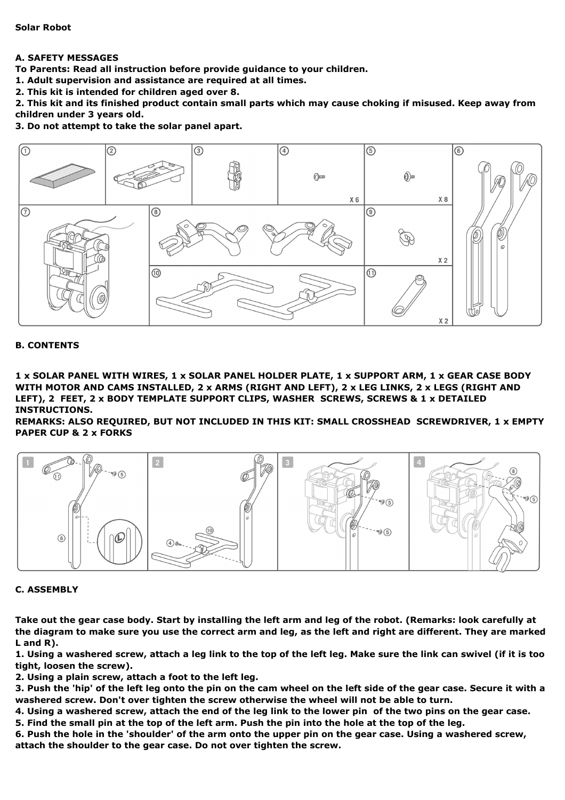**Solar Robot**

# **A. SAFETY MESSAGES**

**To Parents: Read all instruction before provide guidance to your children.**

**1. Adult supervision and assistance are required at all times.**

**2. This kit is intended for children aged over 8.**

2. This kit and its finished product contain small parts which may cause choking if misused. Keep away from **children under 3 years old.**

**3. Do not attempt to take the solar panel apart.**



### **B. CONTENTS**

1 x SOLAR PANEL WITH WIRES, 1 x SOLAR PANEL HOLDER PLATE, 1 x SUPPORT ARM, 1 x GEAR CASE BODY WITH MOTOR AND CAMS INSTALLED, 2 x ARMS (RIGHT AND LEFT), 2 x LEG LINKS, 2 x LEGS (RIGHT AND **LEFT), 2 FEET, 2 x BODY TEMPLATE SUPPORT CLIPS, WASHER SCREWS, SCREWS & 1 x DETAILED INSTRUCTIONS.**

**REMARKS: ALSO REQUIRED, BUT NOT INCLUDED IN THIS KIT: SMALL CROSSHEAD SCREWDRIVER, 1 x EMPTY PAPER CUP & 2 x FORKS**



### **C. ASSEMBLY**

Take out the gear case body. Start by installing the left arm and leg of the robot. (Remarks: look carefully at the diagram to make sure you use the correct arm and leg, as the left and right are different. They are marked **L and R).**

1. Using a washered screw, attach a leg link to the top of the left leg. Make sure the link can swivel (if it is too **tight, loosen the screw).**

**2. Using a plain screw, attach a foot to the left leg.**

3. Push the 'hip' of the left leg onto the pin on the cam wheel on the left side of the gear case. Secure it with a **washered screw. Don't over tighten the screw otherwise the wheel will not be able to turn.**

4. Using a washered screw, attach the end of the leg link to the lower pin of the two pins on the gear case.

5. Find the small pin at the top of the left arm. Push the pin into the hole at the top of the leg.

6. Push the hole in the 'shoulder' of the arm onto the upper pin on the gear case. Using a washered screw, **attach the shoulder to the gear case. Do not over tighten the screw.**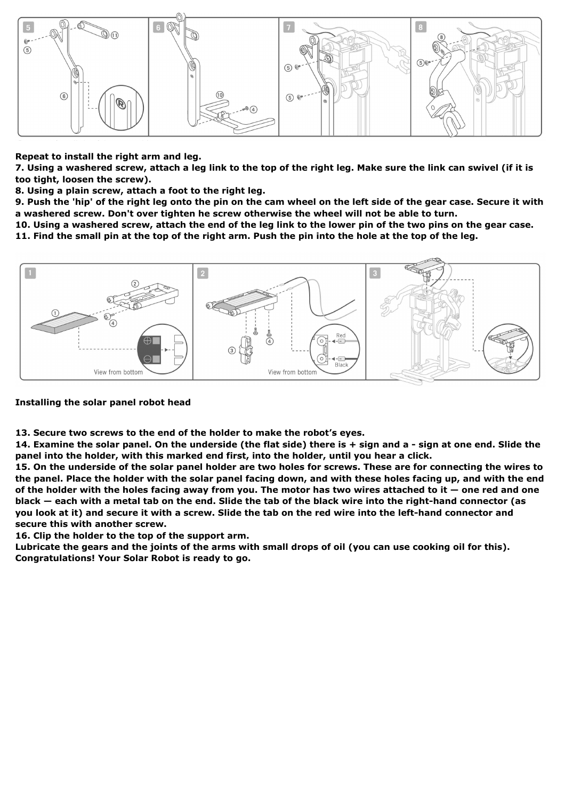

### **Repeat to install the right arm and leg.**

7. Using a washered screw, attach a leg link to the top of the right leg. Make sure the link can swivel (if it is **too tight, loosen the screw).**

**8. Using a plain screw, attach a foot to the right leg.**

9. Push the 'hip' of the right leg onto the pin on the cam wheel on the left side of the gear case. Secure it with **a washered screw. Don't over tighten he screw otherwise the wheel will not be able to turn.**

10. Using a washered screw, attach the end of the leg link to the lower pin of the two pins on the gear case. 11. Find the small pin at the top of the right arm. Push the pin into the hole at the top of the leg.



## **Installing the solar panel robot head**

**13. Secure two screws to the end of the holder to make the robot's eyes.**

14. Examine the solar panel. On the underside (the flat side) there is + sign and a - sign at one end. Slide the **panel into the holder, with this marked end first, into the holder, until you hear a click.**

15. On the underside of the solar panel holder are two holes for screws. These are for connecting the wires to the panel. Place the holder with the solar panel facing down, and with these holes facing up, and with the end of the holder with the holes facing away from you. The motor has two wires attached to it  $-$  one red and one black – each with a metal tab on the end. Slide the tab of the black wire into the right-hand connector (as you look at it) and secure it with a screw. Slide the tab on the red wire into the left-hand connector and **secure this with another screw.**

**16. Clip the holder to the top of the support arm.**

Lubricate the gears and the joints of the arms with small drops of oil (you can use cooking oil for this). **Congratulations! Your Solar Robot is ready to go.**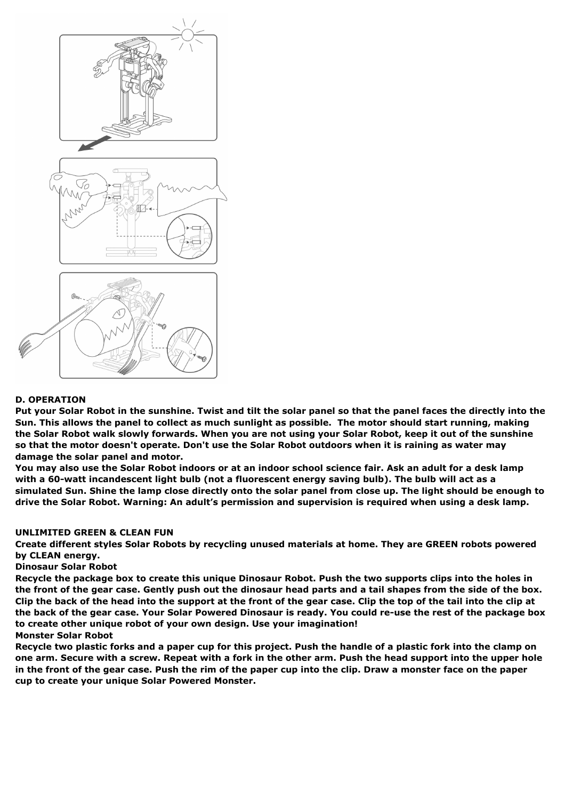

## **D. OPERATION**

Put your Solar Robot in the sunshine. Twist and tilt the solar panel so that the panel faces the directly into the Sun. This allows the panel to collect as much sunlight as possible. The motor should start running, making the Solar Robot walk slowly forwards. When you are not using your Solar Robot, keep it out of the sunshine so that the motor doesn't operate. Don't use the Solar Robot outdoors when it is raining as water may **damage the solar panel and motor.**

You may also use the Solar Robot indoors or at an indoor school science fair. Ask an adult for a desk lamp with a 60-watt incandescent light bulb (not a fluorescent energy saving bulb). The bulb will act as a simulated Sun. Shine the lamp close directly onto the solar panel from close up. The light should be enough to **drive the Solar Robot. Warning: An adult's permission and supervision is required when using a desk lamp.**

#### **UNLIMITED GREEN & CLEAN FUN**

**Create different styles Solar Robots by recycling unused materials at home. They are GREEN robots powered by CLEAN energy.**

#### **Dinosaur Solar Robot**

Recycle the package box to create this unique Dinosaur Robot. Push the two supports clips into the holes in the front of the gear case. Gently push out the dinosaur head parts and a tail shapes from the side of the box. Clip the back of the head into the support at the front of the gear case. Clip the top of the tail into the clip at the back of the gear case. Your Solar Powered Dinosaur is ready. You could re-use the rest of the package box **to create other unique robot of your own design. Use your imagination!**

### **Monster Solar Robot**

Recycle two plastic forks and a paper cup for this project. Push the handle of a plastic fork into the clamp on one arm. Secure with a screw. Repeat with a fork in the other arm. Push the head support into the upper hole in the front of the gear case. Push the rim of the paper cup into the clip. Draw a monster face on the paper **cup to create your unique Solar Powered Monster.**